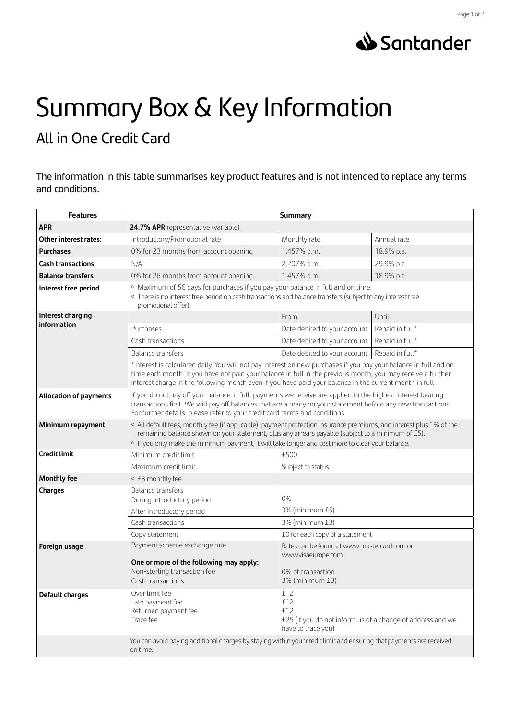

## Summary Box & Key Information

## All in One Credit Card

The information in this table summarises key product features and is not intended to replace any terms and conditions.

| <b>Features</b>                  | <b>Summary</b>                                                                                                                                                                                                                                                                                                                             |                                                                                                       |                 |
|----------------------------------|--------------------------------------------------------------------------------------------------------------------------------------------------------------------------------------------------------------------------------------------------------------------------------------------------------------------------------------------|-------------------------------------------------------------------------------------------------------|-----------------|
| APR                              | 24.7% APR representative (variable)                                                                                                                                                                                                                                                                                                        |                                                                                                       |                 |
| <b>Other interest rates:</b>     | Introductory/Promotional rate                                                                                                                                                                                                                                                                                                              | Monthly rate                                                                                          | Annual rate     |
| <b>Purchases</b>                 | 0% for 23 months from account opening                                                                                                                                                                                                                                                                                                      | 1.457% p.m.                                                                                           | 18.9% p.a.      |
| <b>Cash transactions</b>         | N/A                                                                                                                                                                                                                                                                                                                                        | 2.207% p.m.                                                                                           | 29.9% p.a.      |
| <b>Balance transfers</b>         | 0% for 26 months from account opening                                                                                                                                                                                                                                                                                                      | 1.457% p.m.                                                                                           | 18.9% p.a.      |
| Interest free period             | · Maximum of 56 days for purchases if you pay your balance in full and on time.<br>· There is no interest free period on cash transactions and balance transfers (subject to any interest free<br>promotional offer).                                                                                                                      |                                                                                                       |                 |
| Interest charging<br>information |                                                                                                                                                                                                                                                                                                                                            | From                                                                                                  | Until           |
|                                  | Purchases                                                                                                                                                                                                                                                                                                                                  | Date debited to your account                                                                          | Repaid in full* |
|                                  | Cash transactions                                                                                                                                                                                                                                                                                                                          | Date debited to your account                                                                          | Repaid in full* |
|                                  | Balance transfers                                                                                                                                                                                                                                                                                                                          | Date debited to your account                                                                          | Repaid in full* |
|                                  | *Interest is calculated daily. You will not pay interest on new purchases if you pay your balance in full and on<br>time each month. If you have not paid your balance in full in the previous month, you may receive a further<br>interest charge in the following month even if you have paid your balance in the current month in full. |                                                                                                       |                 |
| <b>Allocation of payments</b>    | If you do not pay off your balance in full, payments we receive are applied to the highest interest bearing<br>transactions first. We will pay off balances that are already on your statement before any new transactions.<br>For further details, please refer to your credit card terms and conditions.                                 |                                                                                                       |                 |
| Minimum repayment                | o All default fees, monthly fee (if applicable), payment protection insurance premiums, and interest plus 1% of the<br>remaining balance shown on your statement, plus any arrears payable (subject to a minimum of £5).<br>o If you only make the minimum payment, it will take longer and cost more to clear your balance.               |                                                                                                       |                 |
| <b>Credit limit</b>              | Minimum credit limit                                                                                                                                                                                                                                                                                                                       | £500                                                                                                  |                 |
|                                  | Maximum credit limit                                                                                                                                                                                                                                                                                                                       | Subject to status                                                                                     |                 |
| <b>Monthly fee</b>               | ○ £3 monthly fee                                                                                                                                                                                                                                                                                                                           |                                                                                                       |                 |
| Charges                          | <b>Balance transfers</b>                                                                                                                                                                                                                                                                                                                   |                                                                                                       |                 |
|                                  | During introductory period                                                                                                                                                                                                                                                                                                                 | $0\%$                                                                                                 |                 |
|                                  | After introductory period                                                                                                                                                                                                                                                                                                                  | 3% (minimum £5)                                                                                       |                 |
|                                  | Cash transactions                                                                                                                                                                                                                                                                                                                          | 3% (minimum £3)                                                                                       |                 |
|                                  | Copy statement                                                                                                                                                                                                                                                                                                                             | £0 for each copy of a statement                                                                       |                 |
| Foreign usage                    | Payment scheme exchange rate                                                                                                                                                                                                                                                                                                               | Rates can be found at www.mastercard.com or                                                           |                 |
|                                  | One or more of the following may apply:<br>Non-sterling transaction fee<br>Cash transactions                                                                                                                                                                                                                                               | www.visaeurope.com<br>0% of transaction<br>3% (minimum £3)                                            |                 |
| Default charges                  | Over limit fee<br>Late payment fee<br>Returned payment fee<br>Trace fee                                                                                                                                                                                                                                                                    | £12<br>£12<br>£12<br>£25 (if you do not inform us of a change of address and we<br>have to trace you) |                 |
|                                  | You can avoid paying additional charges by staying within your credit limit and ensuring that payments are received<br>on time.                                                                                                                                                                                                            |                                                                                                       |                 |